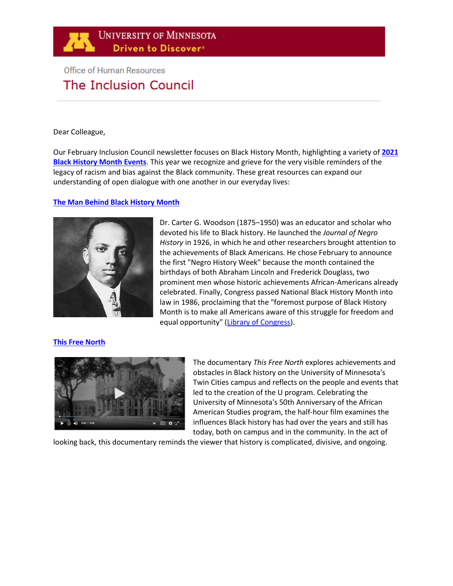# **Office of Human Resources** The Inclusion Council

#### Dear Colleague,

Our February Inclusion Council newsletter focuses on Black History Month, highlighting a variety of **[2021](http://mcse.umn.edu/events/celebrating-black-history-month-2021)  [Black History Month Events](http://mcse.umn.edu/events/celebrating-black-history-month-2021)**. This year we recognize and grieve for the very visible reminders of the legacy of racism and bias against the Black community. These great resources can expand our understanding of open dialogue with one another in our everyday lives:

## **[The Man Behind Black History Month](https://www.history.com/news/the-man-behind-black-history-month)**



Dr. Carter G. Woodson (1875–1950) was an educator and scholar who devoted his life to Black history. He launched the *Journal of Negro History* in 1926, in which he and other researchers brought attention to the achievements of Black Americans. He chose February to announce the first "Negro History Week" because the month contained the birthdays of both Abraham Lincoln and Frederick Douglass, two prominent men whose historic achievements African-Americans already celebrated. Finally, Congress passed National Black History Month into law in 1986, proclaiming that the "foremost purpose of Black History Month is to make all Americans aware of this struggle for freedom and equal opportunity" [\(Library of Congress\)](https://www.loc.gov/law/help/commemorative-observations/african-american.php).

### **[This Free North](https://www.tpt.org/this-free-north/)**



The documentary *This Free North* explores achievements and obstacles in Black history on the University of Minnesota's Twin Cities campus and reflects on the people and events that led to the creation of the U program. Celebrating the University of Minnesota's 50th Anniversary of the African American Studies program, the half-hour film examines the influences Black history has had over the years and still has today, both on campus and in the community. In the act of

looking back, this documentary reminds the viewer that history is complicated, divisive, and ongoing.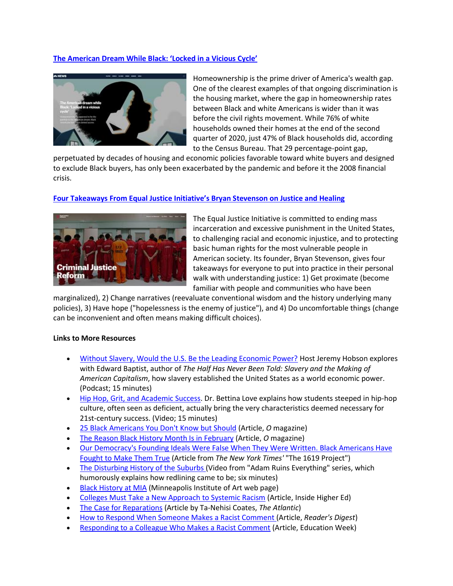## **[The American Dream While Black: 'Locked in a Vicious Cycle'](https://www.nbcnews.com/specials/american-dream-while-black-homeownership/index.html)**



Homeownership is the prime driver of America's wealth gap. One of the clearest examples of that ongoing discrimination is the housing market, where the gap in homeownership rates between Black and white Americans is wider than it was before the civil rights movement. While 76% of white households owned their homes at the end of the second quarter of 2020, just 47% of Black households did, according to the Census Bureau. That 29 percentage-point gap,

perpetuated by decades of housing and economic policies favorable toward white buyers and designed to exclude Black buyers, has only been exacerbated by the pandemic and before it the 2008 financial crisis.

### **[Four Takeaways From Equal Justice Initiative's Bryan Stevenson on Justice and Healing](https://new.artsmia.org/stories/four-takeaways-from-bryan-stevensons-talk-on-justice-and-healing-at-mia)**



The Equal Justice Initiative is committed to ending mass incarceration and excessive punishment in the United States, to challenging racial and economic injustice, and to protecting basic human rights for the most vulnerable people in American society. Its founder, Bryan Stevenson, gives four takeaways for everyone to put into practice in their personal walk with understanding justice: 1) Get proximate (become familiar with people and communities who have been

marginalized), 2) Change narratives (reevaluate conventional wisdom and the history underlying many policies), 3) Have hope ("hopelessness is the enemy of justice"), and 4) Do uncomfortable things (change can be inconvenient and often means making difficult choices).

### **Links to More Resources**

- [Without Slavery, Would the U.S. Be the Leading Economic Power?](https://www.wbur.org/hereandnow/2014/11/19/slavery-economy-baptist) Host Jeremy Hobson explores with Edward Baptist, author of *The Half Has Never Been Told: Slavery and the Making of American Capitalism*, how slavery established the United States as a world economic power. (Podcast; 15 minutes)
- [Hip Hop, Grit, and Academic Success.](https://www.youtube.com/watch?v=tkZqPMzgvzg&t=108s) Dr. Bettina Love explains how students steeped in hip-hop culture, often seen as deficient, actually bring the very characteristics deemed necessary for 21st-century success. (Video; 15 minutes)
- [25 Black Americans You Don't Know but Should](https://www.oprahmag.com/life/g25954127/african-american-historical-figures/) (Article, *O* magazine)
- [The Reason Black History Month Is in February](https://www.oprahmag.com/life/a26077992/why-is-black-history-month-in-february/) (Article, *O* magazine)
- [Our Democracy's Founding Ideals Were False When They Were Written. Black Americans Have](https://www.nytimes.com/interactive/2019/08/14/magazine/black-history-american-democracy.html)  [Fought to Make Them True](https://www.nytimes.com/interactive/2019/08/14/magazine/black-history-american-democracy.html) (Article from *The New York Times'* "The 1619 Project")
- [The Disturbing History of the Suburbs \(](https://www.youtube.com/watch?v=ETR9qrVS17g)Video from "Adam Ruins Everything" series, which humorously explains how redlining came to be; six minutes)
- [Black History at MIA](https://new.artsmia.org/black-history-month?utm_medium=email&_hsmi=108659417&_hsenc=p2ANqtz-9tg6RvBmqLnbCNBjkq5u4ouC8mAugzI9dvA8e63cj-Ihbqu_c3zP4EQE28OjnlEcQuOtRKAc9tNEtUs7_M8SB-FLANXg&utm_content=108659417&utm_source=hs_email) (Minneapolis Institute of Art web page)
- [Colleges Must Take a New Approach to Systemic Racism](https://www.insidehighered.com/views/2020/06/09/defeat-systemic-racism-institutions-must-fully-integrate-truly-diverse-subject) (Article, Inside Higher Ed)
- [The Case for Reparations](https://www.theatlantic.com/magazine/archive/2014/06/the-case-for-reparations/361631/) (Article by Ta-Nehisi Coates, *The Atlantic*)
- [How to Respond When Someone Makes a Racist Comment \(](https://www.rd.com/article/how-to-respond-to-a-racist-comment/)Article, *Reader's Digest*)
- [Responding to a Colleague Who Makes a Racist Comment](https://www.edweek.org/leadership/opinion-responding-to-a-colleague-who-makes-a-racist-comment/2020/09) (Article, Education Week)